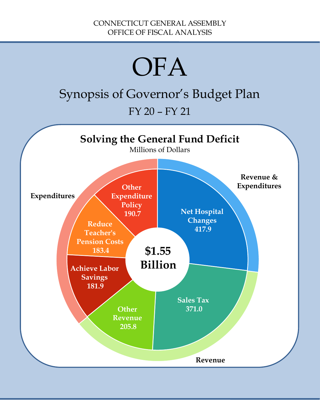# **OFA**

# Synopsis of Governor's Budget Plan

FY 20 – FY 21

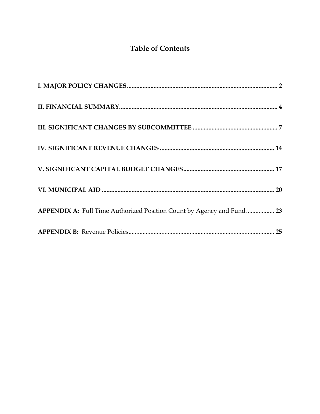# **Table of Contents**

| APPENDIX A: Full Time Authorized Position Count by Agency and Fund 23 |  |
|-----------------------------------------------------------------------|--|
|                                                                       |  |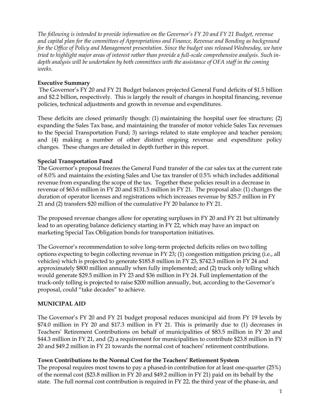*The following is intended to provide information on the Governor's FY 20 and FY 21 Budget, revenue and capital plan for the committees of Appropriations and Finance, Revenue and Bonding as background for the Office of Policy and Management presentation. Since the budget was released Wednesday, we have tried to highlight major areas of interest rather than provide a full-scale comprehensive analysis. Such indepth analysis will be undertaken by both committees with the assistance of OFA staff in the coming weeks.*

#### **Executive Summary**

The Governor's FY 20 and FY 21 Budget balances projected General Fund deficits of \$1.5 billion and \$2.2 billion, respectively. This is largely the result of changes in hospital financing, revenue policies, technical adjustments and growth in revenue and expenditures.

These deficits are closed primarily though: (1) maintaining the hospital user fee structure; (2) expanding the Sales Tax base, and maintaining the transfer of motor vehicle Sales Tax revenues to the Special Transportation Fund; 3) savings related to state employee and teacher pension; and (4) making a number of other distinct ongoing revenue and expenditure policy changes. These changes are detailed in depth further in this report.

#### **Special Transportation Fund**

The Governor's proposal freezes the General Fund transfer of the car sales tax at the current rate of 8.0% and maintains the existing Sales and Use tax transfer of 0.5% which includes additional revenue from expanding the scope of the tax. Together these policies result in a decrease in revenue of \$63.6 million in FY 20 and \$131.5 million in FY 21. The proposal also: (1) changes the duration of operator licenses and registrations which increases revenue by \$25.7 million in FY 21 and (2) transfers \$20 million of the cumulative FY 20 balance to FY 21.

The proposed revenue changes allow for operating surpluses in FY 20 and FY 21 but ultimately lead to an operating balance deficiency starting in FY 22, which may have an impact on marketing Special Tax Obligation bonds for transportation initiatives.

The Governor's recommendation to solve long-term projected deficits relies on two tolling options expecting to begin collecting revenue in FY 23; (1) congestion mitigation pricing (i.e., all vehicles) which is projected to generate \$185.8 million in FY 23, \$742.3 million in FY 24 and approximately \$800 million annually when fully implemented; and (2) truck only tolling which would generate \$29.5 million in FY 23 and \$36 million in FY 24. Full implementation of the truck-only tolling is projected to raise \$200 million annually, but, according to the Governor's proposal, could "take decades" to achieve.

#### **MUNICIPAL AID**

The Governor's FY 20 and FY 21 budget proposal reduces municipal aid from FY 19 levels by \$74.0 million in FY 20 and \$17.3 million in FY 21. This is primarily due to (1) decreases in Teachers' Retirement Contributions on behalf of municipalities of \$83.5 million in FY 20 and \$44.3 million in FY 21, and (2) a requirement for municipalities to contribute \$23.8 million in FY 20 and \$49.2 million in FY 21 towards the normal cost of teachers' retirement contributions.

#### **Town Contributions to the Normal Cost for the Teachers' Retirement System**

The proposal requires most towns to pay a phased-in contribution for at least one-quarter (25%) of the normal cost (\$23.8 million in FY 20 and \$49.2 million in FY 21) paid on its behalf by the state. The full normal cost contribution is required in FY 22, the third year of the phase-in, and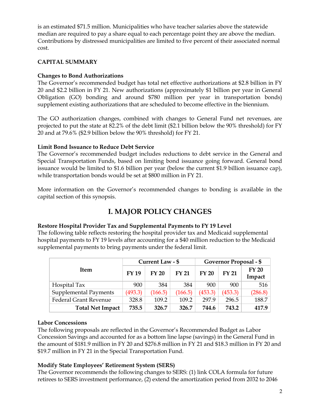is an estimated \$71.5 million. Municipalities who have teacher salaries above the statewide median are required to pay a share equal to each percentage point they are above the median. Contributions by distressed municipalities are limited to five percent of their associated normal cost.

#### **CAPITAL SUMMARY**

#### **Changes to Bond Authorizations**

The Governor's recommended budget has total net effective authorizations at \$2.8 billion in FY 20 and \$2.2 billion in FY 21. New authorizations (approximately \$1 billion per year in General Obligation (GO) bonding and around \$780 million per year in transportation bonds) supplement existing authorizations that are scheduled to become effective in the biennium.

The GO authorization changes, combined with changes to General Fund net revenues, are projected to put the state at 82.2% of the debt limit (\$2.1 billion below the 90% threshold) for FY 20 and at 79.6% (\$2.9 billion below the 90% threshold) for FY 21.

#### **Limit Bond Issuance to Reduce Debt Service**

The Governor's recommended budget includes reductions to debt service in the General and Special Transportation Funds, based on limiting bond issuance going forward. General bond issuance would be limited to \$1.6 billion per year (below the current \$1.9 billion issuance cap), while transportation bonds would be set at \$800 million in FY 21.

More information on the Governor's recommended changes to bonding is available in the capital section of this synopsis.

#### **I. MAJOR POLICY CHANGES**

#### <span id="page-3-0"></span>**Restore Hospital Provider Tax and Supplemental Payments to FY 19 Level**

The following table reflects restoring the hospital provider tax and Medicaid supplemental hospital payments to FY 19 levels after accounting for a \$40 million reduction to the Medicaid supplemental payments to bring payments under the federal limit.

|                              | Current Law - \$ |              |              | Governor Proposal - \$ |              |                        |
|------------------------------|------------------|--------------|--------------|------------------------|--------------|------------------------|
| <b>Item</b>                  | <b>FY 19</b>     | <b>FY 20</b> | <b>FY 21</b> | <b>FY 20</b>           | <b>FY 21</b> | <b>FY 20</b><br>Impact |
| Hospital Tax                 | 900              | 384          | 384          | 900                    | 900          | 516                    |
| Supplemental Payments        | (493.3)          | (166.5)      | (166.5)      | (453.3)                | (453.3)      | (286.8)                |
| <b>Federal Grant Revenue</b> | 328.8            | 109.2        | 109.2        | 297.9                  | 296.5        | 188.7                  |
| <b>Total Net Impact</b>      | 735.5            | 326.7        | 326.7        | 744.6                  | 743.2        | 417.9                  |

#### **Labor Concessions**

The following proposals are reflected in the Governor's Recommended Budget as Labor Concession Savings and accounted for as a bottom line lapse (savings) in the General Fund in the amount of \$181.9 million in FY 20 and \$276.8 million in FY 21 and \$18.3 million in FY 20 and \$19.7 million in FY 21 in the Special Transportation Fund.

#### **Modify State Employees' Retirement System (SERS)**

The Governor recommends the following changes to SERS: (1) link COLA formula for future retirees to SERS investment performance, (2) extend the amortization period from 2032 to 2046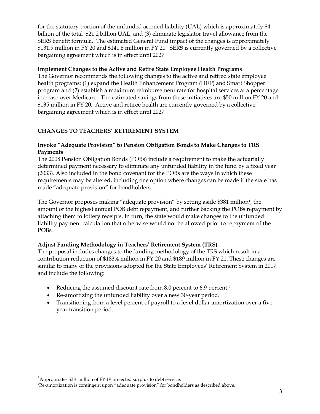for the statutory portion of the unfunded accrued liability (UAL) which is approximately \$4 billion of the total \$21.2 billion UAL, and (3) eliminate legislator travel allowance from the SERS benefit formula. The estimated General Fund impact of the changes is approximately \$131.9 million in FY 20 and \$141.8 million in FY 21. SERS is currently governed by a collective bargaining agreement which is in effect until 2027.

#### **Implement Changes to the Active and Retire State Employee Health Programs**

The Governor recommends the following changes to the active and retired state employee health programs: (1) expand the Health Enhancement Program (HEP) and Smart Shopper program and (2) establish a maximum reimbursement rate for hospital services at a percentage increase over Medicare. The estimated savings from these initiatives are \$50 million FY 20 and \$135 million in FY 20. Active and retiree health are currently governed by a collective bargaining agreement which is in effect until 2027.

#### **CHANGES TO TEACHERS' RETIREMENT SYSTEM**

#### **Invoke "Adequate Provision" to Pension Obligation Bonds to Make Changes to TRS Payments**

The 2008 Pension Obligation Bonds (POBs) include a requirement to make the actuarially determined payment necessary to eliminate any unfunded liability in the fund by a fixed year (2033). Also included in the bond covenant for the POBs are the ways in which these requirements may be altered, including one option where changes can be made if the state has made "adequate provision" for bondholders.

The Governor proposes making "adequate provision" by setting aside \$381 million<sup>1</sup>, the amount of the highest annual POB debt repayment, and further backing the POBs repayment by attaching them to lottery receipts. In turn, the state would make changes to the unfunded liability payment calculation that otherwise would not be allowed prior to repayment of the POBs.

#### **Adjust Funding Methodology in Teachers' Retirement System (TRS)**

The proposal includes changes to the funding methodology of the TRS which result in a contribution reduction of \$183.4 million in FY 20 and \$189 million in FY 21. These changes are similar to many of the provisions adopted for the State Employees' Retirement System in 2017 and include the following:

- Reducing the assumed discount rate from 8.0 percent to 6.9 percent.<sup>2</sup>
- Re-amortizing the unfunded liability over a new 30-year period.
- Transitioning from a level percent of payroll to a level dollar amortization over a fiveyear transition period.

 $1$ Appropriates \$381 million of FY 19 projected surplus to debt service.

 ${}^{2}$ Re-amortization is contingent upon "adequate provision" for bondholders as described above.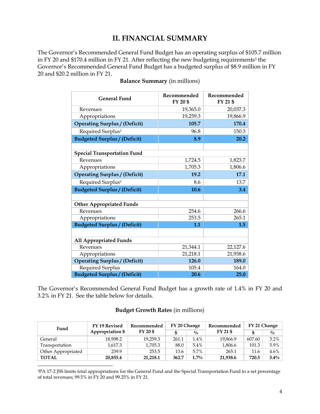## **II. FINANCIAL SUMMARY**

<span id="page-5-0"></span>The Governor's Recommended General Fund Budget has an operating surplus of \$105.7 million in FY 20 and \$170.4 million in FY 21. After reflecting the new budgeting requirements<sup>3</sup> the Governor's Recommended General Fund Budget has a budgeted surplus of \$8.9 million in FY 20 and \$20.2 million in FY 21.

| <b>General Fund</b>                  | Recommended<br>FY 20 \$ | Recommended<br>FY 21 \$ |
|--------------------------------------|-------------------------|-------------------------|
| Revenues                             | 19,365.0                | 20,037.3                |
| Appropriations                       | 19,259.3                | 19,866.9                |
| <b>Operating Surplus / (Deficit)</b> | 105.7                   | 170.4                   |
| Required Surplus <sup>1</sup>        | 96.8                    | 150.3                   |
| <b>Budgeted Surplus / (Deficit)</b>  | 8.9                     | 20.2                    |
|                                      |                         |                         |
| <b>Special Transportation Fund</b>   |                         |                         |
| Revenues                             | 1,724.5                 | 1,823.7                 |
| Appropriations                       | 1,705.3                 | 1,806.6                 |
| <b>Operating Surplus / (Deficit)</b> | 19.2                    | 17.1                    |
| Required Surplus <sup>1</sup>        | 8.6                     | 13.7                    |
| <b>Budgeted Surplus / (Deficit)</b>  | 10.6                    | 3.4                     |
|                                      |                         |                         |
| <b>Other Appropriated Funds</b>      |                         |                         |
| Revenues                             | 254.6                   | 266.6                   |
| Appropriations                       | 253.5                   | 265.1                   |
| <b>Budgeted Surplus / (Deficit)</b>  | 1.1                     | 1.5                     |
|                                      |                         |                         |
| <b>All Appropriated Funds</b>        |                         |                         |
| Revenues                             | 21,344.1                | 22,127.6                |
| Appropriations                       | 21,218.1                | 21,938.6                |
| <b>Operating Surplus / (Deficit)</b> | 126.0                   | 189.0                   |
| <b>Required Surplus</b>              | 105.4                   | 164.0                   |
| <b>Budgeted Surplus / (Deficit)</b>  | 20.6                    | 25.0                    |

**Balance Summary** (in millions)

The Governor's Recommended General Fund Budget has a growth rate of 1.4% in FY 20 and 3.2% in FY 21. See the table below for details.

#### **Budget Growth Rates** (in millions)

| Fund               | FY 19 Revised           | FY 20 Change<br>Recommended |       | Recommended   | FY 21 Change |        |               |
|--------------------|-------------------------|-----------------------------|-------|---------------|--------------|--------|---------------|
|                    | <b>Appropriation \$</b> | FY 20 \$                    | \$    | $\frac{0}{0}$ | FY 21 \$     | \$.    | $\frac{0}{0}$ |
| General            | 18,998.2                | 19,259.3                    | 261.1 | $1.4\%$       | 19,866.9     | 607.60 | $3.2\%$       |
| Transportation     | 1,617.3                 | 1,705.3                     | 88.0  | 5.4%          | 1,806.6      | 101.3  | $5.9\%$       |
| Other Appropriated | 239.9                   | 253.5                       | 13.6  | 5.7%          | 265.1        | 11.6   | $4.6\%$       |
| <b>TOTAL</b>       | 20,855.4                | 21,218.1                    | 362.7 | $1.7\%$       | 21,938.6     | 720.5  | $3.4\%$       |

<sup>3</sup>PA 17-2 JSS limits total appropriations for the General Fund and the Special Transportation Fund to a set percentage of total revenues; 99.5% in FY 20 and 99.25% in FY 21.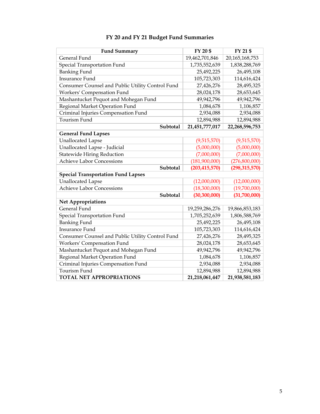| <b>Fund Summary</b>                              | FY 20 \$        | FY 21 \$        |
|--------------------------------------------------|-----------------|-----------------|
| General Fund                                     | 19,462,701,846  | 20,165,168,753  |
| Special Transportation Fund                      | 1,735,552,639   | 1,838,288,769   |
| <b>Banking Fund</b>                              | 25,492,225      | 26,495,108      |
| <b>Insurance Fund</b>                            | 105,723,303     | 114,616,424     |
| Consumer Counsel and Public Utility Control Fund | 27,426,276      | 28,495,325      |
| Workers' Compensation Fund                       | 28,024,178      | 28,653,645      |
| Mashantucket Pequot and Mohegan Fund             | 49,942,796      | 49,942,796      |
| Regional Market Operation Fund                   | 1,084,678       | 1,106,857       |
| Criminal Injuries Compensation Fund              | 2,934,088       | 2,934,088       |
| Tourism Fund                                     | 12,894,988      | 12,894,988      |
| Subtotal                                         | 21,451,777,017  | 22,268,596,753  |
| <b>General Fund Lapses</b>                       |                 |                 |
| <b>Unallocated Lapse</b>                         | (9,515,570)     | (9,515,570)     |
| Unallocated Lapse - Judicial                     | (5,000,000)     | (5,000,000)     |
| <b>Statewide Hiring Reduction</b>                | (7,000,000)     | (7,000,000)     |
| <b>Achieve Labor Concessions</b>                 | (181,900,000)   | (276,800,000)   |
| Subtotal                                         | (203, 415, 570) | (298, 315, 570) |
| <b>Special Transportation Fund Lapses</b>        |                 |                 |
| <b>Unallocated Lapse</b>                         | (12,000,000)    | (12,000,000)    |
| <b>Achieve Labor Concessions</b>                 | (18,300,000)    | (19,700,000)    |
| Subtotal                                         | (30, 300, 000)  | (31,700,000)    |
| <b>Net Appropriations</b>                        |                 |                 |
| General Fund                                     | 19,259,286,276  | 19,866,853,183  |
| Special Transportation Fund                      | 1,705,252,639   | 1,806,588,769   |
| <b>Banking Fund</b>                              | 25,492,225      | 26,495,108      |
| <b>Insurance Fund</b>                            | 105,723,303     | 114,616,424     |
| Consumer Counsel and Public Utility Control Fund | 27,426,276      | 28,495,325      |
| Workers' Compensation Fund                       | 28,024,178      | 28,653,645      |
| Mashantucket Pequot and Mohegan Fund             | 49,942,796      | 49,942,796      |
| Regional Market Operation Fund                   | 1,084,678       | 1,106,857       |
| Criminal Injuries Compensation Fund              | 2,934,088       | 2,934,088       |
| Tourism Fund                                     | 12,894,988      | 12,894,988      |
| <b>TOTAL NET APPROPRIATIONS</b>                  | 21,218,061,447  | 21,938,581,183  |

#### **FY 20 and FY 21 Budget Fund Summaries**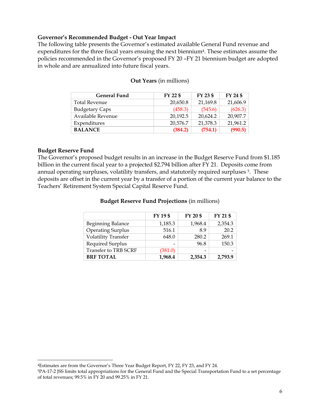#### **Governor's Recommended Budget - Out Year Impact**

The following table presents the Governor's estimated available General Fund revenue and expenditures for the three fiscal years ensuing the next biennium<sup>4</sup>. These estimates assume the policies recommended in the Governor's proposed FY 20 –FY 21 biennium budget are adopted in whole and are annualized into future fiscal years.

| <b>General Fund</b>   | FY 22 \$ | $FY$ 23 \$ | FY 24 \$ |
|-----------------------|----------|------------|----------|
| <b>Total Revenue</b>  | 20,650.8 | 21,169.8   | 21,606.9 |
| <b>Budgetary Caps</b> | (458.3)  | (545.6)    | (626.3)  |
| Available Revenue     | 20,192.5 | 20,624.2   | 20,907.7 |
| Expenditures          | 20,576.7 | 21,378.3   | 21,961.2 |
| <b>BALANCE</b>        | (384.2)  | (754.1)    | (990.5)  |

#### **Out Years** (in millions)

#### **Budget Reserve Fund**

 $\overline{a}$ 

The Governor's proposed budget results in an increase in the Budget Reserve Fund from \$1.185 billion in the current fiscal year to a projected \$2.794 billion after FY 21. Deposits come from annual operating surpluses, volatility transfers, and statutorily required surpluses 5. These deposits are offset in the current year by a transfer of a portion of the current year balance to the Teachers' Retirement System Special Capital Reserve Fund.

|                            | FY 19 \$ | FY 20 \$ | FY 21 \$ |
|----------------------------|----------|----------|----------|
| <b>Beginning Balance</b>   | 1,185.3  | 1,968.4  | 2,354.3  |
| <b>Operating Surplus</b>   | 516.1    | 8.9      | 20.2     |
| <b>Volatility Transfer</b> | 648.0    | 280.2    | 269.1    |
| Required Surplus           |          | 96.8     | 150.3    |
| Transfer to TRB SCRF       | (381.0)  | -        |          |
| <b>BRF TOTAL</b>           | 1,968.4  | 2,354.3  | 2.793.9  |

#### **Budget Reserve Fund Projections** (in millions)

<sup>4</sup>Estimates are from the Governor's Three Year Budget Report, FY 22, FY 23, and FY 24.

<sup>5</sup>PA-17-2 JSS limits total appropriations for the General Fund and the Special Transportation Fund to a set percentage of total revenues; 99.5% in FY 20 and 99.25% in FY 21.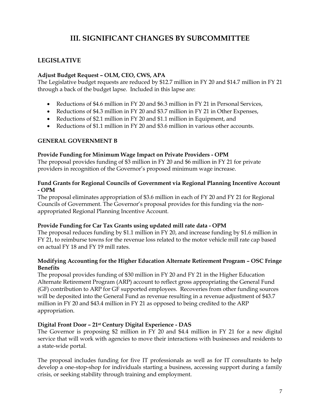# **III. SIGNIFICANT CHANGES BY SUBCOMMITTEE**

#### <span id="page-8-0"></span>**LEGISLATIVE**

#### **Adjust Budget Request – OLM, CEO, CWS, APA**

The Legislative budget requests are reduced by \$12.7 million in FY 20 and \$14.7 million in FY 21 through a back of the budget lapse. Included in this lapse are:

- Reductions of \$4.6 million in FY 20 and \$6.3 million in FY 21 in Personal Services,
- Reductions of \$4.3 million in FY 20 and \$3.7 million in FY 21 in Other Expenses,
- Reductions of \$2.1 million in FY 20 and \$1.1 million in Equipment, and
- Reductions of \$1.1 million in FY 20 and \$3.6 million in various other accounts.

#### **GENERAL GOVERNMENT B**

#### **Provide Funding for Minimum Wage Impact on Private Providers - OPM**

The proposal provides funding of \$3 million in FY 20 and \$6 million in FY 21 for private providers in recognition of the Governor's proposed minimum wage increase.

#### **Fund Grants for Regional Councils of Government via Regional Planning Incentive Account - OPM**

The proposal eliminates appropriation of \$3.6 million in each of FY 20 and FY 21 for Regional Councils of Government. The Governor's proposal provides for this funding via the nonappropriated Regional Planning Incentive Account.

#### **Provide Funding for Car Tax Grants using updated mill rate data - OPM**

The proposal reduces funding by \$1.1 million in FY 20, and increase funding by \$1.6 million in FY 21, to reimburse towns for the revenue loss related to the motor vehicle mill rate cap based on actual FY 18 and FY 19 mill rates.

#### **Modifying Accounting for the Higher Education Alternate Retirement Program – OSC Fringe Benefits**

The proposal provides funding of \$30 million in FY 20 and FY 21 in the Higher Education Alternate Retirement Program (ARP) account to reflect gross appropriating the General Fund (GF) contribution to ARP for GF supported employees. Recoveries from other funding sources will be deposited into the General Fund as revenue resulting in a revenue adjustment of \$43.7 million in FY 20 and \$43.4 million in FY 21 as opposed to being credited to the ARP appropriation.

#### **Digital Front Door – 21st Century Digital Experience - DAS**

The Governor is proposing \$2 million in FY 20 and \$4.4 million in FY 21 for a new digital service that will work with agencies to move their interactions with businesses and residents to a state-wide portal.

The proposal includes funding for five IT professionals as well as for IT consultants to help develop a one-stop-shop for individuals starting a business, accessing support during a family crisis, or seeking stability through training and employment.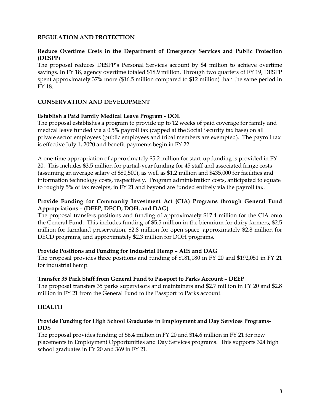#### **REGULATION AND PROTECTION**

#### **Reduce Overtime Costs in the Department of Emergency Services and Public Protection (DESPP)**

The proposal reduces DESPP's Personal Services account by \$4 million to achieve overtime savings. In FY 18, agency overtime totaled \$18.9 million. Through two quarters of FY 19, DESPP spent approximately 37% more (\$16.5 million compared to \$12 million) than the same period in FY 18.

#### **CONSERVATION AND DEVELOPMENT**

#### **Establish a Paid Family Medical Leave Program - DOL**

The proposal establishes a program to provide up to 12 weeks of paid coverage for family and medical leave funded via a 0.5% payroll tax (capped at the Social Security tax base) on all private sector employees (public employees and tribal members are exempted). The payroll tax is effective July 1, 2020 and benefit payments begin in FY 22.

A one-time appropriation of approximately \$5.2 million for start-up funding is provided in FY 20. This includes \$3.5 million for partial-year funding for 45 staff and associated fringe costs (assuming an average salary of \$80,500), as well as \$1.2 million and \$435,000 for facilities and information technology costs, respectively. Program administration costs, anticipated to equate to roughly 5% of tax receipts, in FY 21 and beyond are funded entirely via the payroll tax.

#### **Provide Funding for Community Investment Act (CIA) Programs through General Fund Appropriations – (DEEP, DECD, DOH, and DAG)**

The proposal transfers positions and funding of approximately \$17.4 million for the CIA onto the General Fund. This includes funding of \$5.5 million in the biennium for dairy farmers, \$2.5 million for farmland preservation, \$2.8 million for open space, approximately \$2.8 million for DECD programs, and approximately \$2.3 million for DOH programs.

#### **Provide Positions and Funding for Industrial Hemp – AES and DAG**

The proposal provides three positions and funding of \$181,180 in FY 20 and \$192,051 in FY 21 for industrial hemp.

#### **Transfer 35 Park Staff from General Fund to Passport to Parks Account – DEEP**

The proposal transfers 35 parks supervisors and maintainers and \$2.7 million in FY 20 and \$2.8 million in FY 21 from the General Fund to the Passport to Parks account.

#### **HEALTH**

#### **Provide Funding for High School Graduates in Employment and Day Services Programs-DDS**

The proposal provides funding of \$6.4 million in FY 20 and \$14.6 million in FY 21 for new placements in Employment Opportunities and Day Services programs. This supports 324 high school graduates in FY 20 and 369 in FY 21.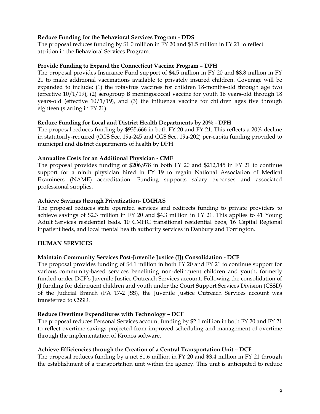#### **Reduce Funding for the Behavioral Services Program - DDS**

The proposal reduces funding by \$1.0 million in FY 20 and \$1.5 million in FY 21 to reflect attrition in the Behavioral Services Program.

#### **Provide Funding to Expand the Connecticut Vaccine Program – DPH**

The proposal provides Insurance Fund support of \$4.5 million in FY 20 and \$8.8 million in FY 21 to make additional vaccinations available to privately insured children. Coverage will be expanded to include: (1) the rotavirus vaccines for children 18-months-old through age two (effective 10/1/19), (2) serogroup B meningococcal vaccine for youth 16 years-old through 18 years-old (effective 10/1/19), and (3) the influenza vaccine for children ages five through eighteen (starting in FY 21).

#### **Reduce Funding for Local and District Health Departments by 20% - DPH**

The proposal reduces funding by \$935,666 in both FY 20 and FY 21. This reflects a 20% decline in statutorily-required (CGS Sec. 19a-245 and CGS Sec. 19a-202) per-capita funding provided to municipal and district departments of health by DPH.

#### **Annualize Costs for an Additional Physician - CME**

The proposal provides funding of \$206,978 in both FY 20 and \$212,145 in FY 21 to continue support for a ninth physician hired in FY 19 to regain National Association of Medical Examiners (NAME) accreditation. Funding supports salary expenses and associated professional supplies.

#### **Achieve Savings through Privatization- DMHAS**

The proposal reduces state operated services and redirects funding to private providers to achieve savings of \$2.3 million in FY 20 and \$4.3 million in FY 21. This applies to 41 Young Adult Services residential beds, 10 CMHC transitional residential beds, 16 Capital Regional inpatient beds, and local mental health authority services in Danbury and Torrington.

#### **HUMAN SERVICES**

#### **Maintain Community Services Post-Juvenile Justice (JJ) Consolidation - DCF**

The proposal provides funding of \$4.1 million in both FY 20 and FY 21 to continue support for various community-based services benefitting non-delinquent children and youth, formerly funded under DCF's Juvenile Justice Outreach Services account. Following the consolidation of JJ funding for delinquent children and youth under the Court Support Services Division (CSSD) of the Judicial Branch (PA 17-2 JSS), the Juvenile Justice Outreach Services account was transferred to CSSD.

#### **Reduce Overtime Expenditures with Technology – DCF**

The proposal reduces Personal Services account funding by \$2.1 million in both FY 20 and FY 21 to reflect overtime savings projected from improved scheduling and management of overtime through the implementation of Kronos software.

#### **Achieve Efficiencies through the Creation of a Central Transportation Unit – DCF**

The proposal reduces funding by a net \$1.6 million in FY 20 and \$3.4 million in FY 21 through the establishment of a transportation unit within the agency. This unit is anticipated to reduce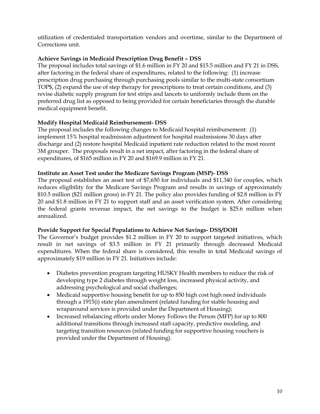utilization of credentialed transportation vendors and overtime, similar to the Department of Corrections unit.

#### **Achieve Savings in Medicaid Prescription Drug Benefit – DSS**

The proposal includes total savings of \$1.6 million in FY 20 and \$15.5 million and FY 21 in DSS, after factoring in the federal share of expenditures, related to the following: (1) increase prescription drug purchasing through purchasing pools similar to the multi-state consortium TOP\$, (2) expand the use of step therapy for prescriptions to treat certain conditions, and (3) revise diabetic supply program for test strips and lancets to uniformly include them on the preferred drug list as opposed to being provided for certain beneficiaries through the durable medical equipment benefit.

#### **Modify Hospital Medicaid Reimbursement- DSS**

The proposal includes the following changes to Medicaid hospital reimbursement: (1) implement 15% hospital readmission adjustment for hospital readmissions 30 days after discharge and (2) restore hospital Medicaid inpatient rate reduction related to the most recent 3M grouper. The proposals result in a net impact, after factoring in the federal share of expenditures, of \$165 million in FY 20 and \$169.9 million in FY 21.

#### **Institute an Asset Test under the Medicare Savings Program (MSP)- DSS**

The proposal establishes an asset test of \$7,650 for individuals and \$11,340 for couples, which reduces eligibility for the Medicare Savings Program and results in savings of approximately \$10.5 million (\$21 million gross) in FY 21. The policy also provides funding of \$2.8 million in FY 20 and \$1.8 million in FY 21 to support staff and an asset verification system. After considering the federal grants revenue impact, the net savings to the budget is \$25.6 million when annualized.

#### **Provide Support for Special Populations to Achieve Net Savings- DSS/DOH**

The Governor's budget provides \$1.2 million in FY 20 to support targeted initiatives, which result in net savings of \$3.5 million in FY 21 primarily through decreased Medicaid expenditures. When the federal share is considered, this results in total Medicaid savings of approximately \$19 million in FY 21. Initiatives include:

- Diabetes prevention program targeting HUSKY Health members to reduce the risk of developing type 2 diabetes through weight loss, increased physical activity, and addressing psychological and social challenges;
- Medicaid supportive housing benefit for up to 850 high cost high need individuals through a 1915(i) state plan amendment (related funding for stable housing and wraparound services is provided under the Department of Housing);
- Increased rebalancing efforts under Money Follows the Person (MFP) for up to 800 additional transitions through increased staff capacity, predictive modeling, and targeting transition resources (related funding for supportive housing vouchers is provided under the Department of Housing).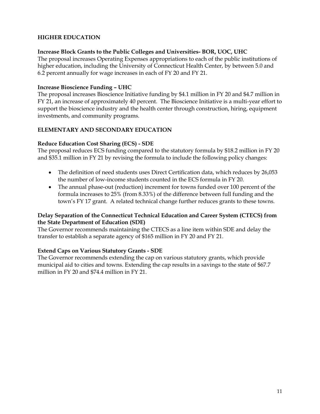#### **HIGHER EDUCATION**

#### **Increase Block Grants to the Public Colleges and Universities- BOR, UOC, UHC**

The proposal increases Operating Expenses appropriations to each of the public institutions of higher education, including the University of Connecticut Health Center, by between 5.0 and 6.2 percent annually for wage increases in each of FY 20 and FY 21.

#### **Increase Bioscience Funding – UHC**

The proposal increases Bioscience Initiative funding by \$4.1 million in FY 20 and \$4.7 million in FY 21, an increase of approximately 40 percent. The Bioscience Initiative is a multi-year effort to support the bioscience industry and the health center through construction, hiring, equipment investments, and community programs.

#### **ELEMENTARY AND SECONDARY EDUCATION**

#### **Reduce Education Cost Sharing (ECS) - SDE**

The proposal reduces ECS funding compared to the statutory formula by \$18.2 million in FY 20 and \$35.1 million in FY 21 by revising the formula to include the following policy changes:

- The definition of need students uses Direct Certification data, which reduces by 26,053 the number of low-income students counted in the ECS formula in FY 20.
- The annual phase-out (reduction) increment for towns funded over 100 percent of the formula increases to 25% (from 8.33%) of the difference between full funding and the town's FY 17 grant. A related technical change further reduces grants to these towns.

#### **Delay Separation of the Connecticut Technical Education and Career System (CTECS) from the State Department of Education (SDE)**

The Governor recommends maintaining the CTECS as a line item within SDE and delay the transfer to establish a separate agency of \$165 million in FY 20 and FY 21.

#### **Extend Caps on Various Statutory Grants - SDE**

The Governor recommends extending the cap on various statutory grants, which provide municipal aid to cities and towns. Extending the cap results in a savings to the state of \$67.7 million in FY 20 and \$74.4 million in FY 21.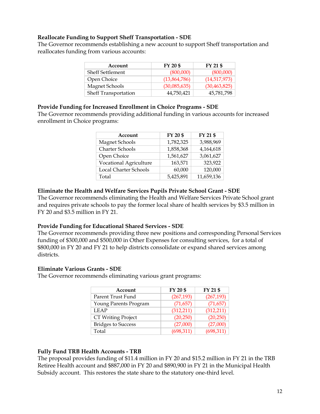#### **Reallocate Funding to Support Sheff Transportation - SDE**

The Governor recommends establishing a new account to support Sheff transportation and reallocates funding from various accounts:

| Account                     | FY 20 \$     | FY 21 \$       |
|-----------------------------|--------------|----------------|
| <b>Sheff Settlement</b>     | (800,000)    | (800,000)      |
| Open Choice                 | (13,864,786) | (14,517,973)   |
| Magnet Schools              | (30,085,635) | (30, 463, 825) |
| <b>Sheff Transportation</b> | 44,750,421   | 45,781,798     |

#### **Provide Funding for Increased Enrollment in Choice Programs - SDE**

The Governor recommends providing additional funding in various accounts for increased enrollment in Choice programs:

| Account                | FY 20\$   | FY 21 \$   |
|------------------------|-----------|------------|
| <b>Magnet Schools</b>  | 1,782,325 | 3,988,969  |
| Charter Schools        | 1,858,368 | 4,164,618  |
| Open Choice            | 1,561,627 | 3,061,627  |
| Vocational Agriculture | 163,571   | 323,922    |
| Local Charter Schools  | 60,000    | 120,000    |
| Total                  | 5,425,891 | 11,659,136 |

#### **Eliminate the Health and Welfare Services Pupils Private School Grant - SDE**

The Governor recommends eliminating the Health and Welfare Services Private School grant and requires private schools to pay the former local share of health services by \$3.5 million in FY 20 and \$3.5 million in FY 21.

#### **Provide Funding for Educational Shared Services - SDE**

The Governor recommends providing three new positions and corresponding Personal Services funding of \$300,000 and \$500,000 in Other Expenses for consulting services, for a total of \$800,000 in FY 20 and FY 21 to help districts consolidate or expand shared services among districts.

#### **Eliminate Various Grants - SDE**

The Governor recommends eliminating various grant programs:

| Account                   | FY 20 \$   | FY 21 \$   |
|---------------------------|------------|------------|
| Parent Trust Fund         | (267, 193) | (267, 193) |
| Young Parents Program     | (71, 657)  | (71, 657)  |
| <b>LEAP</b>               | (312,211)  | (312, 211) |
| <b>CT Writing Project</b> | (20,250)   | (20, 250)  |
| <b>Bridges to Success</b> | (27,000)   | (27,000)   |
| Total                     | (698, 311) | (698, 311) |

#### **Fully Fund TRB Health Accounts - TRB**

The proposal provides funding of \$11.4 million in FY 20 and \$15.2 million in FY 21 in the TRB Retiree Health account and \$887,000 in FY 20 and \$890,900 in FY 21 in the Municipal Health Subsidy account. This restores the state share to the statutory one-third level.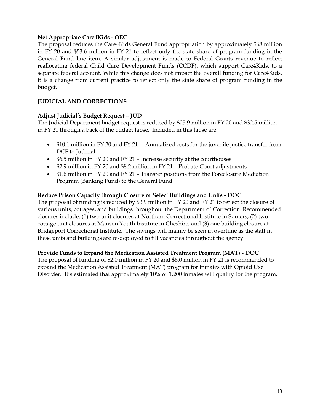#### **Net Appropriate Care4Kids - OEC**

The proposal reduces the Care4Kids General Fund appropriation by approximately \$68 million in FY 20 and \$53.6 million in FY 21 to reflect only the state share of program funding in the General Fund line item. A similar adjustment is made to Federal Grants revenue to reflect reallocating federal Child Care Development Funds (CCDF), which support Care4Kids, to a separate federal account. While this change does not impact the overall funding for Care4Kids, it is a change from current practice to reflect only the state share of program funding in the budget.

#### **JUDICIAL AND CORRECTIONS**

#### **Adjust Judicial's Budget Request – JUD**

The Judicial Department budget request is reduced by \$25.9 million in FY 20 and \$32.5 million in FY 21 through a back of the budget lapse. Included in this lapse are:

- \$10.1 million in FY 20 and FY 21 Annualized costs for the juvenile justice transfer from DCF to Judicial
- \$6.5 million in FY 20 and FY 21 Increase security at the courthouses
- \$2.9 million in FY 20 and \$8.2 million in FY 21 Probate Court adjustments
- \$1.6 million in FY 20 and FY 21 Transfer positions from the Foreclosure Mediation Program (Banking Fund) to the General Fund

#### **Reduce Prison Capacity through Closure of Select Buildings and Units - DOC**

The proposal of funding is reduced by \$3.9 million in FY 20 and FY 21 to reflect the closure of various units, cottages, and buildings throughout the Department of Correction. Recommended closures include: (1) two unit closures at Northern Correctional Institute in Somers, (2) two cottage unit closures at Manson Youth Institute in Cheshire, and (3) one building closure at Bridgeport Correctional Institute. The savings will mainly be seen in overtime as the staff in these units and buildings are re-deployed to fill vacancies throughout the agency.

#### **Provide Funds to Expand the Medication Assisted Treatment Program (MAT) - DOC**

The proposal of funding of \$2.0 million in FY 20 and \$6.0 million in FY 21 is recommended to expand the Medication Assisted Treatment (MAT) program for inmates with Opioid Use Disorder. It's estimated that approximately 10% or 1,200 inmates will qualify for the program.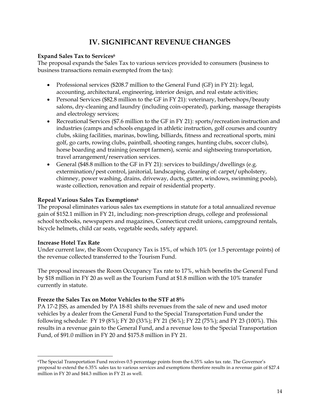# **IV. SIGNIFICANT REVENUE CHANGES**

#### <span id="page-15-0"></span>**Expand Sales Tax to Services<sup>6</sup>**

The proposal expands the Sales Tax to various services provided to consumers (business to business transactions remain exempted from the tax):

- Professional services (\$208.7 million to the General Fund (GF) in FY 21): legal, accounting, architectural, engineering, interior design, and real estate activities;
- Personal Services (\$82.8 million to the GF in FY 21): veterinary, barbershops/beauty salons, dry-cleaning and laundry (including coin-operated), parking, massage therapists and electrology services;
- Recreational Services (\$7.6 million to the GF in FY 21): sports/recreation instruction and industries (camps and schools engaged in athletic instruction, golf courses and country clubs, skiing facilities, marinas, bowling, billiards, fitness and recreational sports, mini golf, go carts, rowing clubs, paintball, shooting ranges, hunting clubs, soccer clubs), horse boarding and training (exempt farmers), scenic and sightseeing transportation, travel arrangement/reservation services.
- General  $$48.8$  million to the GF in FY 21): services to buildings/dwellings (e.g. extermination/pest control, janitorial, landscaping, cleaning of: carpet/upholstery, chimney, power washing, drains, driveway, ducts, gutter, windows, swimming pools), waste collection, renovation and repair of residential property.

#### **Repeal Various Sales Tax Exemptions<sup>6</sup>**

The proposal eliminates various sales tax exemptions in statute for a total annualized revenue gain of \$152.1 million in FY 21, including: non-prescription drugs, college and professional school textbooks, newspapers and magazines, Connecticut credit unions, campground rentals, bicycle helmets, child car seats, vegetable seeds, safety apparel.

#### **Increase Hotel Tax Rate**

Under current law, the Room Occupancy Tax is 15%, of which 10% (or 1.5 percentage points) of the revenue collected transferred to the Tourism Fund.

The proposal increases the Room Occupancy Tax rate to 17%, which benefits the General Fund by \$18 million in FY 20 as well as the Tourism Fund at \$1.8 million with the 10% transfer currently in statute.

#### **Freeze the Sales Tax on Motor Vehicles to the STF at 8%**

PA 17-2 JSS, as amended by PA 18-81 shifts revenues from the sale of new and used motor vehicles by a dealer from the General Fund to the Special Transportation Fund under the following schedule: FY 19 (8%); FY 20 (33%); FY 21 (56%); FY 22 (75%); and FY 23 (100%). This results in a revenue gain to the General Fund, and a revenue loss to the Special Transportation Fund, of \$91.0 million in FY 20 and \$175.8 million in FY 21.

<sup>6</sup>The Special Transportation Fund receives 0.5 percentage points from the 6.35% sales tax rate. The Governor's proposal to extend the 6.35% sales tax to various services and exemptions therefore results in a revenue gain of \$27.4 million in FY 20 and \$44.3 million in FY 21 as well.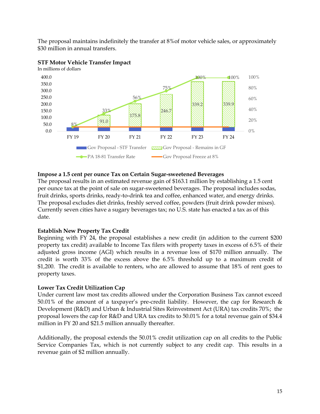The proposal maintains indefinitely the transfer at 8%of motor vehicle sales, or approximately \$30 million in annual transfers.



#### **STF Motor Vehicle Transfer Impact**

# **Impose a 1.5 cent per ounce Tax on Certain Sugar-sweetened Beverages**

The proposal results in an estimated revenue gain of \$163.1 million by establishing a 1.5 cent per ounce tax at the point of sale on sugar-sweetened beverages. The proposal includes sodas, fruit drinks, sports drinks, ready-to-drink tea and coffee, enhanced water, and energy drinks. The proposal excludes diet drinks, freshly served coffee, powders (fruit drink powder mixes). Currently seven cities have a sugary beverages tax; no U.S. state has enacted a tax as of this date.

#### **Establish New Property Tax Credit**

Beginning with FY 24, the proposal establishes a new credit (in addition to the current \$200 property tax credit) available to Income Tax filers with property taxes in excess of 6.5% of their adjusted gross income (AGI) which results in a revenue loss of \$170 million annually. The credit is worth 33% of the excess above the 6.5% threshold up to a maximum credit of \$1,200. The credit is available to renters, who are allowed to assume that 18% of rent goes to property taxes.

#### **Lower Tax Credit Utilization Cap**

Under current law most tax credits allowed under the Corporation Business Tax cannot exceed 50.01% of the amount of a taxpayer's pre-credit liability. However, the cap for Research & Development (R&D) and Urban & Industrial Sites Reinvestment Act (URA) tax credits 70%; the proposal lowers the cap for R&D and URA tax credits to 50.01% for a total revenue gain of \$34.4 million in FY 20 and \$21.5 million annually thereafter.

Additionally, the proposal extends the 50.01% credit utilization cap on all credits to the Public Service Companies Tax, which is not currently subject to any credit cap. This results in a revenue gain of \$2 million annually.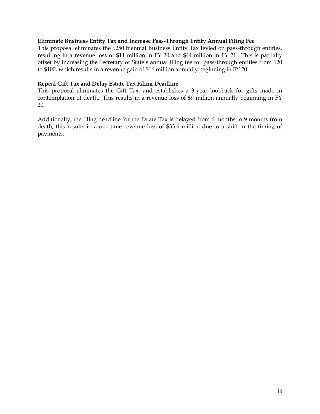#### **Eliminate Business Entity Tax and Increase Pass-Through Entity Annual Filing Fee**

This proposal eliminates the \$250 biennial Business Entity Tax levied on pass-through entities, resulting in a revenue loss of \$11 million in FY 20 and \$44 million in FY 21. This is partially offset by increasing the Secretary of State's annual filing fee for pass-through entities from \$20 to \$100, which results in a revenue gain of \$16 million annually beginning in FY 20.

#### **Repeal Gift Tax and Delay Estate Tax Filing Deadline**

This proposal eliminates the Gift Tax, and establishes a 3-year lookback for gifts made in contemplation of death. This results in a revenue loss of \$9 million annually beginning in FY 20.

Additionally, the filing deadline for the Estate Tax is delayed from 6 months to 9 months from death; this results in a one-time revenue loss of \$33.6 million due to a shift in the timing of payments.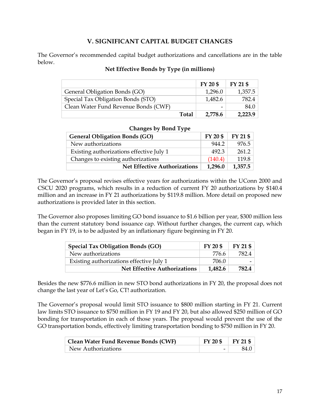#### **V. SIGNIFICANT CAPITAL BUDGET CHANGES**

<span id="page-18-0"></span>The Governor's recommended capital budget authorizations and cancellations are in the table below.

#### **Net Effective Bonds by Type (in millions)**

|                                      |              | FY 20 \$ | FY 21 \$ |
|--------------------------------------|--------------|----------|----------|
| General Obligation Bonds (GO)        |              | 1,296.0  | 1,357.5  |
| Special Tax Obligation Bonds (STO)   |              | 1,482.6  | 782.4    |
| Clean Water Fund Revenue Bonds (CWF) |              |          | 84.0     |
|                                      | <b>Total</b> | 2,778.6  | 2,223.9  |

#### **Changes by Bond Type**

| <b>General Obligation Bonds (GO)</b>     | FY 20 \$ | FY 21 \$ |
|------------------------------------------|----------|----------|
| New authorizations                       | 944.2    | 976.5    |
| Existing authorizations effective July 1 | 492.3    | 261.2    |
| Changes to existing authorizations       | (140.4)  | 119.8    |
| <b>Net Effective Authorizations</b>      | 1,296.0  | 1,357.5  |

The Governor's proposal revises effective years for authorizations within the UConn 2000 and CSCU 2020 programs, which results in a reduction of current FY 20 authorizations by \$140.4 million and an increase in FY 21 authorizations by \$119.8 million. More detail on proposed new authorizations is provided later in this section.

The Governor also proposes limiting GO bond issuance to \$1.6 billion per year, \$300 million less than the current statutory bond issuance cap. Without further changes, the current cap, which began in FY 19, is to be adjusted by an inflationary figure beginning in FY 20.

| <b>Special Tax Obligation Bonds (GO)</b> | $FY$ 20 \$ | FY 21 \$ |
|------------------------------------------|------------|----------|
| New authorizations                       | 776.6      | 782.4    |
| Existing authorizations effective July 1 | 706.0      |          |
| <b>Net Effective Authorizations</b>      | 1,482.6    | 782.4    |

Besides the new \$776.6 million in new STO bond authorizations in FY 20, the proposal does not change the last year of Let's Go, CT! authorization.

The Governor's proposal would limit STO issuance to \$800 million starting in FY 21. Current law limits STO issuance to \$750 million in FY 19 and FY 20, but also allowed \$250 million of GO bonding for transportation in each of those years. The proposal would prevent the use of the GO transportation bonds, effectively limiting transportation bonding to \$750 million in FY 20.

| Clean Water Fund Revenue Bonds (CWF) | $FY 20 $ \mid FY 21 $$   |      |
|--------------------------------------|--------------------------|------|
| New Authorizations                   | $\overline{\phantom{0}}$ | 84.0 |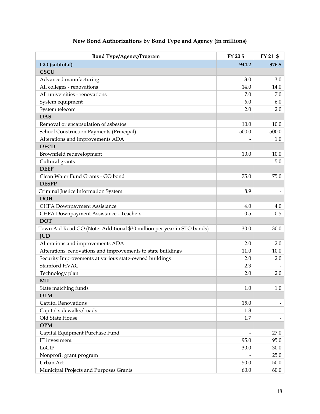| <b>Bond Type/Agency/Program</b>                                        | FY 20 \$       | FY 21 \$                 |
|------------------------------------------------------------------------|----------------|--------------------------|
| GO (subtotal)                                                          | 944.2          | 976.5                    |
| <b>CSCU</b>                                                            |                |                          |
| Advanced manufacturing                                                 | 3.0            | 3.0                      |
| All colleges - renovations                                             | 14.0           | 14.0                     |
| All universities - renovations                                         | 7.0            | 7.0                      |
| System equipment                                                       | 6.0            | 6.0                      |
| System telecom                                                         | 2.0            | 2.0                      |
| <b>DAS</b>                                                             |                |                          |
| Removal or encapsulation of asbestos                                   | 10.0           | 10.0                     |
| School Construction Payments (Principal)                               | 500.0          | 500.0                    |
| Alterations and improvements ADA                                       |                | $1.0\,$                  |
| <b>DECD</b>                                                            |                |                          |
| Brownfield redevelopment                                               | 10.0           | 10.0                     |
| Cultural grants                                                        |                | 5.0                      |
| <b>DEEP</b>                                                            |                |                          |
| Clean Water Fund Grants - GO bond                                      | 75.0           | 75.0                     |
| <b>DESPP</b>                                                           |                |                          |
| Criminal Justice Information System                                    | 8.9            |                          |
| <b>DOH</b>                                                             |                |                          |
| <b>CHFA Downpayment Assistance</b>                                     | 4.0            | 4.0                      |
| CHFA Downpayment Assistance - Teachers                                 | 0.5            | 0.5                      |
| <b>DOT</b>                                                             |                |                          |
| Town Aid Road GO (Note: Additional \$30 million per year in STO bonds) | 30.0           | 30.0                     |
| <b>JUD</b>                                                             |                |                          |
| Alterations and improvements ADA                                       | 2.0            | 2.0                      |
| Alterations, renovations and improvements to state buildings           | 11.0           | 10.0                     |
| Security Improvements at various state-owned buildings                 | 2.0            | 2.0                      |
| Stamford HVAC                                                          | 2.3            |                          |
| Technology plan                                                        | 2.0            | 2.0                      |
| <b>MIL</b>                                                             |                |                          |
| State matching funds                                                   | $1.0$          | 1.0                      |
| <b>OLM</b>                                                             |                |                          |
| <b>Capitol Renovations</b>                                             | 15.0           | $\overline{\phantom{a}}$ |
| Capitol sidewalks/roads                                                | 1.8            |                          |
| Old State House                                                        | 1.7            |                          |
| <b>OPM</b>                                                             |                |                          |
| Capital Equipment Purchase Fund                                        | $\blacksquare$ | 27.0                     |
| IT investment                                                          | 95.0           | 95.0                     |
| LoCIP                                                                  | 30.0           | 30.0                     |
| Nonprofit grant program                                                |                | 25.0                     |
| Urban Act                                                              | 50.0           | 50.0                     |
| Municipal Projects and Purposes Grants                                 | 60.0           | 60.0                     |

# **New Bond Authorizations by Bond Type and Agency (in millions)**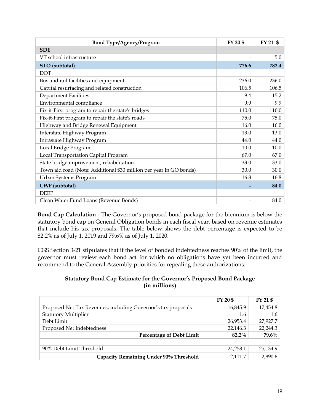| <b>Bond Type/Agency/Program</b>                                    | FY 20 \$        | FY 21 \$ |
|--------------------------------------------------------------------|-----------------|----------|
| <b>SDE</b>                                                         |                 |          |
| VT school infrastructure                                           |                 | 5.0      |
| STO (subtotal)                                                     | 776.6           | 782.4    |
| <b>DOT</b>                                                         |                 |          |
| Bus and rail facilities and equipment                              | 236.0           | 236.0    |
| Capital resurfacing and related construction                       | 106.5           | 106.5    |
| <b>Department Facilities</b>                                       | 9.4             | 15.2     |
| Environmental compliance                                           | 9.9             | 9.9      |
| Fix-it-First program to repair the state's bridges                 | 110.0           | 110.0    |
| Fix-it-First program to repair the state's roads                   | 75.0            | 75.0     |
| Highway and Bridge Renewal Equipment                               | 16.0            | 16.0     |
| Interstate Highway Program                                         | 13.0            | 13.0     |
| Intrastate Highway Program                                         | 44.0            | 44.0     |
| Local Bridge Program                                               | 10.0            | 10.0     |
| Local Transportation Capital Program                               | 67.0            | 67.0     |
| State bridge improvement, rehabilitation                           | 33.0            | 33.0     |
| Town aid road (Note: Additional \$30 million per year in GO bonds) | 30.0            | 30.0     |
| Urban Systems Program                                              | 16.8            | 16.8     |
| <b>CWF</b> (subtotal)                                              | $\qquad \qquad$ | 84.0     |
| <b>DEEP</b>                                                        |                 |          |
| Clean Water Fund Loans (Revenue Bonds)                             |                 | 84.0     |

**Bond Cap Calculation -** The Governor's proposed bond package for the biennium is below the statutory bond cap on General Obligation bonds in each fiscal year, based on revenue estimates that include his tax proposals. The table below shows the debt percentage is expected to be 82.2% as of July 1, 2019 and 79.6% as of July 1, 2020.

CGS Section 3-21 stipulates that if the level of bonded indebtedness reaches 90% of the limit, the governor must review each bond act for which no obligations have yet been incurred and recommend to the General Assembly priorities for repealing these authorizations.

#### **Statutory Bond Cap Estimate for the Governor's Proposed Bond Package (in millions)**

|                                                               | FY 20 \$ | FY 21 \$ |
|---------------------------------------------------------------|----------|----------|
| Proposed Net Tax Revenues, including Governor's tax proposals | 16,845.9 | 17,454.8 |
| <b>Statutory Multiplier</b>                                   | 1.6      | 1.6      |
| Debt Limit                                                    | 26,953.4 | 27,927.7 |
| Proposed Net Indebtedness                                     | 22,146.3 | 22,244.3 |
| <b>Percentage of Debt Limit</b>                               | $82.2\%$ | 79.6%    |
|                                                               |          |          |
| 90% Debt Limit Threshold                                      | 24,258.1 | 25,134.9 |
| Capacity Remaining Under 90% Threshold                        | 2,111.7  | 2,890.6  |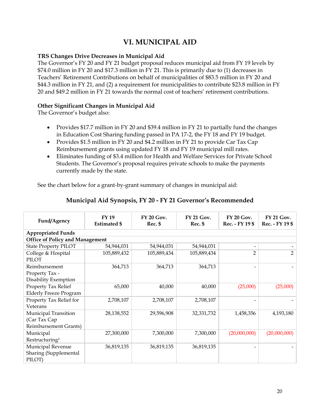# **VI. MUNICIPAL AID**

#### <span id="page-21-0"></span>**TRS Changes Drive Decreases in Municipal Aid**

The Governor's FY 20 and FY 21 budget proposal reduces municipal aid from FY 19 levels by \$74.0 million in FY 20 and \$17.3 million in FY 21. This is primarily due to (1) decreases in Teachers' Retirement Contributions on behalf of municipalities of \$83.5 million in FY 20 and \$44.3 million in FY 21, and (2) a requirement for municipalities to contribute \$23.8 million in FY 20 and \$49.2 million in FY 21 towards the normal cost of teachers' retirement contributions.

#### **Other Significant Changes in Municipal Aid**

The Governor's budget also:

- Provides \$17.7 million in FY 20 and \$39.4 million in FY 21 to partially fund the changes in Education Cost Sharing funding passed in PA 17-2, the FY 18 and FY 19 budget.
- Provides \$1.5 million in FY 20 and \$4.2 million in FY 21 to provide Car Tax Cap Reimbursement grants using updated FY 18 and FY 19 municipal mill rates.
- Eliminates funding of \$3.4 million for Health and Welfare Services for Private School Students. The Governor's proposal requires private schools to make the payments currently made by the state.

See the chart below for a grant-by-grant summary of changes in municipal aid:

| Fund/Agency                            | <b>FY 19</b><br><b>Estimated \$</b> | <b>FY 20 Gov.</b><br>Rec. \$ | <b>FY 21 Gov.</b><br>Rec. \$ | <b>FY 20 Gov.</b><br>Rec. - FY 19 \$ | FY 21 Gov.<br>Rec. - FY 19 \$ |  |  |  |  |
|----------------------------------------|-------------------------------------|------------------------------|------------------------------|--------------------------------------|-------------------------------|--|--|--|--|
| <b>Appropriated Funds</b>              |                                     |                              |                              |                                      |                               |  |  |  |  |
| <b>Office of Policy and Management</b> |                                     |                              |                              |                                      |                               |  |  |  |  |
| <b>State Property PILOT</b>            | 54,944,031                          | 54,944,031                   | 54,944,031                   |                                      |                               |  |  |  |  |
| College & Hospital<br><b>PILOT</b>     | 105,889,432                         | 105,889,434                  | 105,889,434                  | $\overline{2}$                       |                               |  |  |  |  |
| Reimbursement                          | 364,713                             | 364,713                      | 364,713                      |                                      |                               |  |  |  |  |
| Property Tax -                         |                                     |                              |                              |                                      |                               |  |  |  |  |
| Disability Exemption                   |                                     |                              |                              |                                      |                               |  |  |  |  |
| Property Tax Relief                    | 65,000                              | 40,000                       | 40,000                       | (25,000)                             | (25,000)                      |  |  |  |  |
| <b>Elderly Freeze Program</b>          |                                     |                              |                              |                                      |                               |  |  |  |  |
| Property Tax Relief for                | 2,708,107                           | 2,708,107                    | 2,708,107                    |                                      |                               |  |  |  |  |
| Veterans                               |                                     |                              |                              |                                      |                               |  |  |  |  |
| Municipal Transition                   | 28,138,552                          | 29,596,908                   | 32,331,732                   | 1,458,356                            | 4,193,180                     |  |  |  |  |
| (Car Tax Cap                           |                                     |                              |                              |                                      |                               |  |  |  |  |
| <b>Reimbursement Grants)</b>           |                                     |                              |                              |                                      |                               |  |  |  |  |
| Municipal                              | 27,300,000                          | 7,300,000                    | 7,300,000                    | (20,000,000)                         | (20,000,000)                  |  |  |  |  |
| Restructuring <sup>1</sup>             |                                     |                              |                              |                                      |                               |  |  |  |  |
| Municipal Revenue                      | 36,819,135                          | 36,819,135                   | 36,819,135                   |                                      |                               |  |  |  |  |
| Sharing (Supplemental                  |                                     |                              |                              |                                      |                               |  |  |  |  |
| PILOT)                                 |                                     |                              |                              |                                      |                               |  |  |  |  |

#### **Municipal Aid Synopsis, FY 20 - FY 21 Governor's Recommended**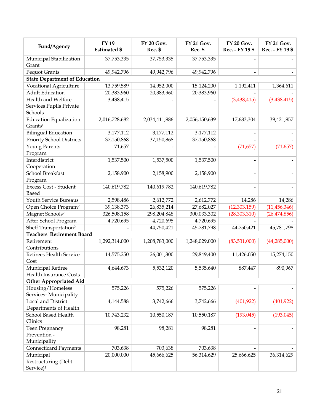| Fund/Agency                                               | <b>FY 19</b><br><b>Estimated \$</b> | FY 20 Gov.<br>Rec. \$    | FY 21 Gov.<br>Rec. \$ | FY 20 Gov.<br>Rec. - FY 19 \$ | <b>FY 21 Gov.</b><br>Rec. - FY 19 \$ |  |  |
|-----------------------------------------------------------|-------------------------------------|--------------------------|-----------------------|-------------------------------|--------------------------------------|--|--|
| Municipal Stabilization<br>Grant                          | 37,753,335                          | 37,753,335<br>37,753,335 |                       |                               |                                      |  |  |
| <b>Pequot Grants</b>                                      | 49,942,796                          | 49,942,796               | 49,942,796            |                               |                                      |  |  |
| <b>State Department of Education</b>                      |                                     |                          |                       |                               |                                      |  |  |
| Vocational Agriculture                                    | 13,759,589                          | 14,952,000               | 15,124,200            | 1,192,411                     | 1,364,611                            |  |  |
| <b>Adult Education</b>                                    | 20,383,960                          | 20,383,960               | 20,383,960            |                               |                                      |  |  |
| Health and Welfare<br>Services Pupils Private<br>Schools  | 3,438,415                           |                          |                       | (3,438,415)                   | (3,438,415)                          |  |  |
| <b>Education Equalization</b><br>Grants <sup>1</sup>      | 2,016,728,682                       | 2,034,411,986            | 2,056,150,639         | 17,683,304                    | 39,421,957                           |  |  |
| <b>Bilingual Education</b>                                | 3,177,112                           | 3,177,112                | 3,177,112             | $\overline{\phantom{0}}$      |                                      |  |  |
| Priority School Districts                                 | 37,150,868                          | 37,150,868               | 37,150,868            |                               |                                      |  |  |
| <b>Young Parents</b>                                      | 71,657                              |                          |                       | (71, 657)                     | (71, 657)                            |  |  |
| Program                                                   |                                     |                          |                       |                               |                                      |  |  |
| Interdistrict                                             | 1,537,500                           | 1,537,500                | 1,537,500             |                               |                                      |  |  |
| Cooperation                                               |                                     |                          |                       |                               |                                      |  |  |
| School Breakfast                                          | 2,158,900                           | 2,158,900                | 2,158,900             | $\overline{\phantom{0}}$      |                                      |  |  |
| Program                                                   |                                     |                          |                       |                               |                                      |  |  |
| Excess Cost - Student<br>Based                            | 140,619,782                         | 140,619,782              | 140,619,782           |                               |                                      |  |  |
| Youth Service Bureaus                                     | 2,598,486                           | 2,612,772                | 2,612,772             | 14,286                        | 14,286                               |  |  |
| Open Choice Program <sup>2</sup>                          | 39,138,373                          | 26,835,214               | 27,682,027            | (12, 303, 159)                | (11, 456, 346)                       |  |  |
| Magnet Schools <sup>2</sup>                               | 326,508,158                         | 298,204,848              | 300,033,302           | (28, 303, 310)                | (26, 474, 856)                       |  |  |
| After School Program                                      | 4,720,695                           | 4,720,695                | 4,720,695             |                               |                                      |  |  |
| Sheff Transportation <sup>2</sup>                         |                                     | 44,750,421               | 45,781,798            | 44,750,421                    | 45,781,798                           |  |  |
| <b>Teachers' Retirement Board</b>                         |                                     |                          |                       |                               |                                      |  |  |
| Retirement<br>Contributions                               | 1,292,314,000                       | 1,208,783,000            | 1,248,029,000         | (83,531,000)                  | (44, 285, 000)                       |  |  |
| Retirees Health Service<br>Cost                           | 14,575,250                          | 26,001,300               | 29,849,400            | 11,426,050                    | 15,274,150                           |  |  |
| Municipal Retiree<br><b>Health Insurance Costs</b>        | 4,644,673                           | 5,532,120                | 5,535,640             | 887,447                       | 890,967                              |  |  |
| <b>Other Appropriated Aid</b>                             |                                     |                          |                       |                               |                                      |  |  |
| Housing/Homeless<br>Services-Municipality                 | 575,226                             | 575,226                  | 575,226               |                               |                                      |  |  |
| Local and District<br>Departments of Health               | 4,144,588                           | 3,742,666                | 3,742,666             | (401, 922)                    | (401, 922)                           |  |  |
| School Based Health<br>Clinics                            | 10,743,232                          | 10,550,187               | 10,550,187            | (193, 045)                    | (193, 045)                           |  |  |
| Teen Pregnancy<br>Prevention -<br>Municipality            | 98,281                              | 98,281                   | 98,281                |                               |                                      |  |  |
| <b>Connecticard Payments</b>                              | 703,638                             | 703,638                  | 703,638               |                               |                                      |  |  |
| Municipal<br>Restructuring (Debt<br>Service) <sup>1</sup> | 20,000,000                          | 45,666,625               | 56,314,629            | 25,666,625                    | 36,314,629                           |  |  |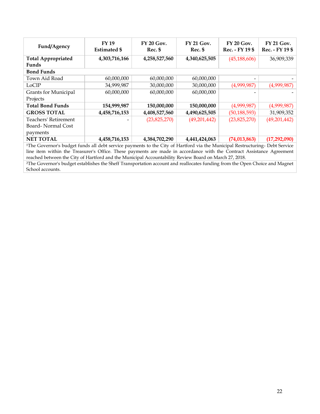| Fund/Agency                                                                                                                              | <b>FY 19</b><br><b>Estimated</b> \$ | $FY$ 20 $Gov$ .<br>Rec. \$ | <b>FY 21 Gov.</b><br>Rec. \$ | <b>FY 20 Gov.</b><br>Rec. - FY 19 \$ | <b>FY 21 Gov.</b><br>Rec. - FY 19 \$ |  |  |  |
|------------------------------------------------------------------------------------------------------------------------------------------|-------------------------------------|----------------------------|------------------------------|--------------------------------------|--------------------------------------|--|--|--|
| <b>Total Appropriated</b><br>Funds                                                                                                       | 4,303,716,166                       | 4,258,527,560              | 4,340,625,505                | (45, 188, 606)                       | 36,909,339                           |  |  |  |
| <b>Bond Funds</b>                                                                                                                        |                                     |                            |                              |                                      |                                      |  |  |  |
| Town Aid Road                                                                                                                            | 60,000,000                          | 60,000,000                 | 60,000,000                   |                                      |                                      |  |  |  |
| LoCIP                                                                                                                                    | 34,999,987                          | 30,000,000                 | 30,000,000                   | (4,999,987)                          | (4,999,987)                          |  |  |  |
| <b>Grants for Municipal</b>                                                                                                              | 60,000,000                          | 60,000,000                 | 60,000,000                   |                                      |                                      |  |  |  |
| Projects                                                                                                                                 |                                     |                            |                              |                                      |                                      |  |  |  |
| <b>Total Bond Funds</b>                                                                                                                  | 154,999,987                         | 150,000,000                | 150,000,000                  | (4,999,987)                          | (4,999,987)                          |  |  |  |
| <b>GROSS TOTAL</b>                                                                                                                       | 4,458,716,153                       | 4,408,527,560              | 4,490,625,505                | (50, 188, 593)                       | 31,909,352                           |  |  |  |
| Teachers' Retirement                                                                                                                     |                                     | (23,825,270)               | (49,201,442)                 | (23,825,270)                         | (49,201,442)                         |  |  |  |
| Board-Normal Cost                                                                                                                        |                                     |                            |                              |                                      |                                      |  |  |  |
| payments                                                                                                                                 |                                     |                            |                              |                                      |                                      |  |  |  |
| <b>NET TOTAL</b>                                                                                                                         | 4,458,716,153                       | 4,384,702,290              | 4,441,424,063                | (74, 013, 863)                       | (17, 292, 090)                       |  |  |  |
| <sup>1</sup> The Governor's budget funds all debt service payments to the City of Hartford via the Municipal Restructuring- Debt Service |                                     |                            |                              |                                      |                                      |  |  |  |

line item within the Treasurer's Office. These payments are made in accordance with the Contract Assistance Agreement reached between the City of Hartford and the Municipal Accountability Review Board on March 27, 2018.

<sup>2</sup>The Governor's budget establishes the Sheff Transportation account and reallocates funding from the Open Choice and Magnet School accounts.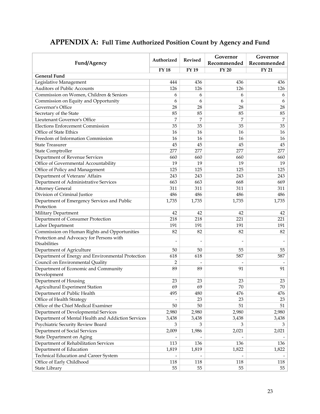| Fund/Agency                                               | Authorized  | <b>Revised</b> | Governor<br>Recommended | Governor<br>Recommended |
|-----------------------------------------------------------|-------------|----------------|-------------------------|-------------------------|
|                                                           | <b>FY18</b> | <b>FY 19</b>   | <b>FY 20</b>            | <b>FY 21</b>            |
| <b>General Fund</b>                                       |             |                |                         |                         |
| Legislative Management                                    | 444         | 436            | 436                     | 436                     |
| Auditors of Public Accounts                               | 126         | 126            | 126                     | 126                     |
| Commission on Women, Children & Seniors                   | 6           | 6              | 6                       | 6                       |
| Commission on Equity and Opportunity                      | 6           | 6              | 6                       | 6                       |
| Governor's Office                                         | 28          | 28             | 28                      | 28                      |
| Secretary of the State                                    | 85          | 85             | 85                      | 85                      |
| Lieutenant Governor's Office                              | 7           | 7              | 7                       | 7                       |
| Elections Enforcement Commission                          | 35          | 35             | 35                      | 35                      |
| Office of State Ethics                                    | 16          | 16             | 16                      | 16                      |
| Freedom of Information Commission                         | 16          | 16             | 16                      | 16                      |
| <b>State Treasurer</b>                                    | 45          | 45             | 45                      | 45                      |
| <b>State Comptroller</b>                                  | 277         | 277            | 277                     | 277                     |
| Department of Revenue Services                            | 660         | 660            | 660                     | 660                     |
| Office of Governmental Accountability                     | 19          | 19             | 19                      | 19                      |
| Office of Policy and Management                           | 125         | 125            | 125                     | 125                     |
| Department of Veterans' Affairs                           | 243         | 243            | 243                     | 243                     |
| Department of Administrative Services                     | 663         | 663            | 668                     | 669                     |
| <b>Attorney General</b>                                   | 311         | 311            | 311                     | 311                     |
| Division of Criminal Justice                              | 486         | 486            | 486                     | 486                     |
| Department of Emergency Services and Public<br>Protection | 1,735       | 1,735          | 1,735                   | 1,735                   |
| Military Department                                       | 42          | 42             | 42                      | 42                      |
| Department of Consumer Protection                         | 218         | 218            | 221                     | 221                     |
| Labor Department                                          | 191         | 191            | 191                     | 191                     |
| Commission on Human Rights and Opportunities              | 82          | 82             | 82                      | 82                      |
| Protection and Advocacy for Persons with<br>Disabilities  |             |                |                         |                         |
| Department of Agriculture                                 | 50          | 50             | 55                      | 55                      |
| Department of Energy and Environmental Protection         | 618         | 618            | 587                     | 587                     |
| Council on Environmental Quality                          | 2           |                |                         |                         |
| Department of Economic and Community<br>Development       | 89          | 89             | 91                      | 91                      |
| Department of Housing                                     | 23          | 23             | 23                      | 23                      |
| <b>Agricultural Experiment Station</b>                    | 69          | 69             | 70                      | 70                      |
| Department of Public Health                               | 495         | 480            | 476                     | 476                     |
| Office of Health Strategy                                 |             | 23             | 23                      | 23                      |
| Office of the Chief Medical Examiner                      | 50          | 50             | 51                      | 51                      |
| Department of Developmental Services                      | 2,980       | 2,980          | 2,980                   | 2,980                   |
| Department of Mental Health and Addiction Services        | 3,438       | 3,438          | 3,438                   | 3,438                   |
| Psychiatric Security Review Board                         | 3           | 3              | 3                       | 3                       |
| Department of Social Services                             | 2,009       | 1,986          | 2,021                   | 2,021                   |
| <b>State Department on Aging</b>                          |             |                |                         |                         |
| Department of Rehabilitation Services                     | 113         | 136            | 136                     | 136                     |
| Department of Education                                   | 1,819       | 1,819          | 1,822                   | 1,822                   |
| Technical Education and Career System                     |             |                |                         |                         |
| Office of Early Childhood                                 | 118         | 118            | 118                     | 118                     |
| State Library                                             | 55          | 55             | 55                      | 55                      |

# <span id="page-24-0"></span>**APPENDIX A: Full Time Authorized Position Count by Agency and Fund**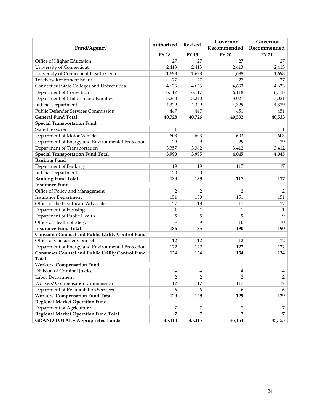| Fund/Agency                                                       | Authorized       | <b>Revised</b> | Governor<br>Recommended | Governor<br>Recommended |
|-------------------------------------------------------------------|------------------|----------------|-------------------------|-------------------------|
|                                                                   | <b>FY18</b>      | FY 19          | <b>FY 20</b>            | <b>FY 21</b>            |
| Office of Higher Education                                        | 27               | 27             | 27                      | 27                      |
| University of Connecticut                                         | 2,413            | 2,413          | 2,413                   | 2,413                   |
| University of Connecticut Health Center                           | 1,698            | 1,698          | 1,698                   | 1,698                   |
| Teachers' Retirement Board                                        | 27               | 27             | 27                      | 27                      |
| <b>Connecticut State Colleges and Universities</b>                | 4,633            | 4,633          | 4,633                   | 4,633                   |
| Department of Correction                                          | 6,117            | 6,117          | 6,118                   | 6,118                   |
| Department of Children and Families                               | 3,240            | 3,240          | 3,021                   | 3,021                   |
| Judicial Department                                               | 4,329            | 4,329          | 4,329                   | 4,329                   |
| Public Defender Services Commission                               | 447              | 447            | 451                     | 451                     |
| <b>General Fund Total</b>                                         | 40,728           | 40,726         | 40,532                  | 40,533                  |
| <b>Special Transportation Fund</b>                                |                  |                |                         |                         |
| <b>State Treasurer</b>                                            | $\mathbf{1}$     | 1              | 1                       | 1                       |
| Department of Motor Vehicles                                      | 603              | 603            | 603                     | 603                     |
| Department of Energy and Environmental Protection                 | 29               | 29             | 29                      | 29                      |
| Department of Transportation                                      | 3,357            | 3,362          | 3,412                   | 3,412                   |
| <b>Special Transportation Fund Total</b>                          | 3,990            | 3,995          | 4,045                   | 4,045                   |
| <b>Banking Fund</b>                                               |                  |                |                         |                         |
| Department of Banking                                             | 119              | 119            | 117                     | 117                     |
| Judicial Department                                               | 20               | 20             |                         |                         |
| <b>Banking Fund Total</b>                                         | 139              | 139            | 117                     | 117                     |
| <b>Insurance Fund</b>                                             |                  |                |                         |                         |
| Office of Policy and Management                                   | $\overline{2}$   | 2              | 2                       | 2                       |
| Insurance Department                                              | 151              | 150            | 151                     | 151                     |
| Office of the Healthcare Advocate                                 | 27               | 18             | 17                      | 17                      |
| Department of Housing                                             | $\mathbf{1}$     | $\mathbf{1}$   | 1                       | 1                       |
| Department of Public Health                                       | 5                | 5              | 9                       | 9                       |
| Office of Health Strategy                                         |                  | 9              | 10                      | 10                      |
| <b>Insurance Fund Total</b>                                       | 186              | 185            | 190                     | 190                     |
| <b>Consumer Counsel and Public Utility Control Fund</b>           |                  |                |                         |                         |
| Office of Consumer Counsel                                        | 12               | 12             | 12                      | 12                      |
| Department of Energy and Environmental Protection                 | 122              | 122            | 122                     | 122                     |
| <b>Consumer Counsel and Public Utility Control Fund</b>           | 134              | 134            | 134                     | 134                     |
| <b>Total</b>                                                      |                  |                |                         |                         |
| <b>Workers' Compensation Fund</b>                                 |                  |                |                         |                         |
| Division of Criminal Justice                                      | $\boldsymbol{4}$ | 4              | 4                       | 4                       |
| Labor Department                                                  | $\overline{2}$   | 2              | $\overline{2}$          | $\overline{2}$          |
| Workers' Compensation Commission                                  | 117              | 117            | 117                     | 117                     |
| Department of Rehabilitation Services                             | 6                | 6              | 6                       | 6                       |
| <b>Workers' Compensation Fund Total</b>                           | 129              | 129            | 129                     | 129                     |
| <b>Regional Market Operation Fund</b>                             |                  |                |                         |                         |
| Department of Agriculture<br>Regional Market Operation Fund Total | 7<br>7           | 7<br>7         | 7<br>7                  | 7<br>7                  |
| <b>GRAND TOTAL - Appropriated Funds</b>                           | 45,313           | 45,315         | 45,154                  | 45,155                  |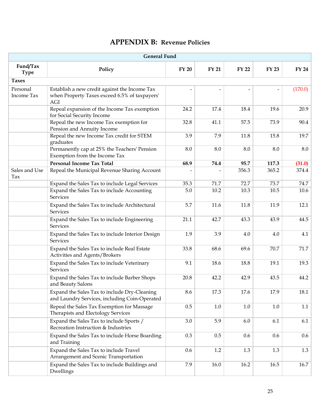|  | <b>APPENDIX B: Revenue Policies</b> |
|--|-------------------------------------|
|--|-------------------------------------|

<span id="page-26-0"></span>

| <b>General Fund</b>     |                                                                                                       |              |              |              |              |              |  |
|-------------------------|-------------------------------------------------------------------------------------------------------|--------------|--------------|--------------|--------------|--------------|--|
| Fund/Tax<br><b>Type</b> | Policy                                                                                                | <b>FY 20</b> | <b>FY 21</b> | <b>FY 22</b> | <b>FY 23</b> | <b>FY 24</b> |  |
| <b>Taxes</b>            |                                                                                                       |              |              |              |              |              |  |
| Personal<br>Income Tax  | Establish a new credit against the Income Tax<br>when Property Taxes exceed 6.5% of taxpayers'<br>AGI |              |              |              |              | (170.0)      |  |
|                         | Repeal expansion of the Income Tax exemption<br>for Social Security Income                            | 24.2         | 17.4         | 18.4         | 19.6         | 20.9         |  |
|                         | Repeal the new Income Tax exemption for<br>Pension and Annuity Income                                 | 32.8         | 41.1         | 57.5         | 73.9         | 90.4         |  |
|                         | Repeal the new Income Tax credit for STEM<br>graduates                                                | 3.9          | 7.9          | 11.8         | 15.8         | 19.7         |  |
|                         | Permanently cap at 25% the Teachers' Pension<br>Exemption from the Income Tax                         | 8.0          | 8.0          | 8.0          | 8.0          | 8.0          |  |
|                         | <b>Personal Income Tax Total</b>                                                                      | 68.9         | 74.4         | 95.7         | 117.3        | (31.0)       |  |
| Sales and Use<br>Tax    | Repeal the Municipal Revenue Sharing Account                                                          |              |              | 356.3        | 365.2        | 374.4        |  |
|                         | Expand the Sales Tax to include Legal Services                                                        | 35.3         | 71.7         | 72.7         | 73.7         | 74.7         |  |
|                         | Expand the Sales Tax to include Accounting<br><b>Services</b>                                         | 5.0          | 10.2         | 10.3         | 10.5         | 10.6         |  |
|                         | Expand the Sales Tax to include Architectural<br><b>Services</b>                                      | 5.7          | 11.6         | 11.8         | 11.9         | 12.1         |  |
|                         | Expand the Sales Tax to include Engineering<br>Services                                               | 21.1         | 42.7         | 43.3         | 43.9         | 44.5         |  |
|                         | Expand the Sales Tax to include Interior Design<br><b>Services</b>                                    | 1.9          | 3.9          | 4.0          | 4.0          | 4.1          |  |
|                         | Expand the Sales Tax to include Real Estate<br>Activities and Agents/Brokers                          | 33.8         | 68.6         | 69.6         | 70.7         | 71.7         |  |
|                         | Expand the Sales Tax to include Veterinary<br>Services                                                | 9.1          | 18.6         | 18.8         | 19.1         | 19.3         |  |
|                         | Expand the Sales Tax to include Barber Shops<br>and Beauty Salons                                     | 20.8         | 42.2         | 42.9         | 43.5         | 44.2         |  |
|                         | Expand the Sales Tax to include Dry-Cleaning<br>and Laundry Services, including Coin-Operated         | 8.6          | 17.3         | 17.6         | 17.9         | 18.1         |  |
|                         | Repeal the Sales Tax Exemption for Massage<br>Therapists and Electology Services                      | 0.5          | 1.0          | 1.0          | 1.0          | 1.1          |  |
|                         | Expand the Sales Tax to include Sports /<br>Recreation Instruction & Industries                       | 3.0          | 5.9          | 6.0          | 6.1          | 6.1          |  |
|                         | Expand the Sales Tax to include Horse Boarding<br>and Training                                        | 0.3          | 0.5          | 0.6          | 0.6          | 0.6          |  |
|                         | Expand the Sales Tax to include Travel<br>Arrangement and Scenic Transportation                       | 0.6          | 1.2          | 1.3          | 1.3          | 1.3          |  |
|                         | Expand the Sales Tax to include Buildings and<br>Dwellings                                            | 7.9          | 16.0         | 16.2         | 16.5         | 16.7         |  |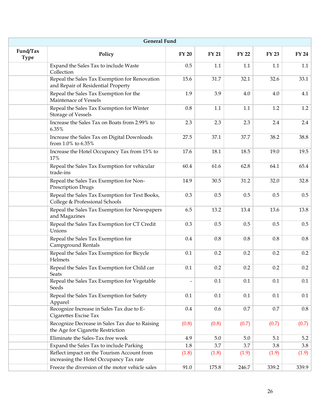| <b>General Fund</b>     |                                                                                       |              |              |              |              |              |  |
|-------------------------|---------------------------------------------------------------------------------------|--------------|--------------|--------------|--------------|--------------|--|
| Fund/Tax<br><b>Type</b> | Policy                                                                                | <b>FY 20</b> | <b>FY 21</b> | <b>FY 22</b> | <b>FY 23</b> | <b>FY 24</b> |  |
|                         | Expand the Sales Tax to include Waste<br>Collection                                   | 0.5          | 1.1          | 1.1          | 1.1          | 1.1          |  |
|                         | Repeal the Sales Tax Exemption for Renovation<br>and Repair of Residential Property   | 15.6         | 31.7         | 32.1         | 32.6         | 33.1         |  |
|                         | Repeal the Sales Tax Exemption for the<br>Maintenace of Vessels                       | 1.9          | 3.9          | 4.0          | 4.0          | 4.1          |  |
|                         | Repeal the Sales Tax Exemption for Winter<br><b>Storage of Vessels</b>                | 0.8          | 1.1          | 1.1          | 1.2          | 1.2          |  |
|                         | Increase the Sales Tax on Boats from 2.99% to<br>6.35%                                | 2.3          | 2.3          | 2.3          | 2.4          | 2.4          |  |
|                         | Increase the Sales Tax on Digital Downloads<br>from 1.0% to 6.35%                     | 27.5         | 37.1         | 37.7         | 38.2         | 38.8         |  |
|                         | Increase the Hotel Occupancy Tax from 15% to<br>17%                                   | 17.6         | 18.1         | 18.5         | 19.0         | 19.5         |  |
|                         | Repeal the Sales Tax Exemption for vehicular<br>trade-ins                             | 60.4         | 61.6         | 62.8         | 64.1         | 65.4         |  |
|                         | Repeal the Sales Tax Exemption for Non-<br>Prescription Drugs                         | 14.9         | 30.5         | 31.2         | 32.0         | 32.8         |  |
|                         | Repeal the Sales Tax Exemption for Text Books,<br>College & Professional Schools      | 0.3          | 0.5          | 0.5          | 0.5          | 0.5          |  |
|                         | Repeal the Sales Tax Exemption for Newspapers<br>and Magazines                        | 6.5          | 13.2         | 13.4         | 13.6         | 13.8         |  |
|                         | Repeal the Sales Tax Exemption for CT Credit<br>Unions                                | 0.3          | 0.5          | 0.5          | 0.5          | 0.5          |  |
|                         | Repeal the Sales Tax Exemption for<br>Campground Rentals                              | 0.4          | 0.8          | 0.8          | 0.8          | $0.8\,$      |  |
|                         | Repeal the Sales Tax Exemption for Bicycle<br>Helmets                                 | 0.1          | 0.2          | 0.2          | 0.2          | 0.2          |  |
|                         | Repeal the Sales Tax Exemption for Child car<br><b>Seats</b>                          | 0.1          | 0.2          | 0.2          | 0.2          | 0.2          |  |
|                         | Repeal the Sales Tax Exemption for Vegetable<br>Seeds                                 |              | 0.1          | 0.1          | 0.1          | 0.1          |  |
|                         | Repeal the Sales Tax Exemption for Safety<br>Apparel                                  | 0.1          | 0.1          | 0.1          | 0.1          | 0.1          |  |
|                         | Recognize Increase in Sales Tax due to E-<br>Cigarettes Excise Tax                    | 0.4          | 0.6          | 0.7          | 0.7          | $0.8\,$      |  |
|                         | Recognize Decrease in Sales Tax due to Raising<br>the Age for Cigarette Restriction   | (0.8)        | (0.8)        | (0.7)        | (0.7)        | (0.7)        |  |
|                         | Eliminate the Sales-Tax free week                                                     | 4.9          | 5.0          | 5.0          | 5.1          | 5.2          |  |
|                         | Expand the Sales Tax to include Parking                                               | 1.8          | 3.7          | 3.7          | 3.8          | 3.8          |  |
|                         | Reflect impact on the Tourism Account from<br>increasing the Hotel Occupancy Tax rate | (1.8)        | (1.8)        | (1.9)        | (1.9)        | (1.9)        |  |
|                         | Freeze the diversion of the motor vehicle sales                                       | 91.0         | 175.8        | 246.7        | 339.2        | 339.9        |  |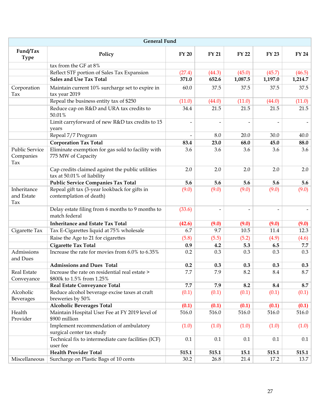|                                    | <b>General Fund</b>                                                            |              |              |              |              |              |
|------------------------------------|--------------------------------------------------------------------------------|--------------|--------------|--------------|--------------|--------------|
| Fund/Tax<br><b>Type</b>            | Policy                                                                         | <b>FY 20</b> | <b>FY 21</b> | <b>FY 22</b> | <b>FY 23</b> | <b>FY 24</b> |
|                                    | tax from the GF at 8%                                                          |              |              |              |              |              |
|                                    | Reflect STF portion of Sales Tax Expansion                                     | (27.4)       | (44.3)       | (45.0)       | (45.7)       | (46.5)       |
|                                    | <b>Sales and Use Tax Total</b>                                                 | 371.0        | 652.6        | 1,087.5      | 1,197.0      | 1,214.7      |
| Corporation<br>Tax                 | Maintain current 10% surcharge set to expire in<br>tax year 2019               | 60.0         | 37.5         | 37.5         | 37.5         | 37.5         |
|                                    | Repeal the business entity tax of \$250                                        | (11.0)       | (44.0)       | (11.0)       | (44.0)       | (11.0)       |
|                                    | Reduce cap on R&D and URA tax credits to<br>50.01%                             | 34.4         | 21.5         | 21.5         | 21.5         | 21.5         |
|                                    | Limit carryforward of new R&D tax credits to 15<br>years                       |              |              |              |              |              |
|                                    | Repeal 7/7 Program                                                             |              | 8.0          | 20.0         | 30.0         | 40.0         |
|                                    | <b>Corporation Tax Total</b>                                                   | 83.4         | 23.0         | 68.0         | 45.0         | 88.0         |
| Public Service<br>Companies<br>Tax | Eliminate exemption for gas sold to facility with<br>775 MW of Capacity        | 3.6          | 3.6          | 3.6          | 3.6          | 3.6          |
|                                    | Cap credits claimed against the public utilities<br>tax at 50.01% of liability | 2.0          | 2.0          | 2.0          | 2.0          | 2.0          |
|                                    | <b>Public Service Companies Tax Total</b>                                      | 5.6          | 5.6          | 5.6          | 5.6          | 5.6          |
| Inheritance<br>and Estate<br>Tax   | Repeal gift tax (3-year lookback for gifts in<br>contemplation of death)       | (9.0)        | (9.0)        | (9.0)        | (9.0)        | (9.0)        |
|                                    | Delay estate filing from 6 months to 9 months to<br>match federal              | (33.6)       |              |              |              |              |
|                                    | <b>Inheritance and Estate Tax Total</b>                                        | (42.6)       | (9.0)        | (9.0)        | (9.0)        | (9.0)        |
| Cigarette Tax                      | Tax E-Cigarettes liquid at 75% wholesale                                       | 6.7          | 9.7          | 10.5         | 11.4         | 12.3         |
|                                    | Raise the Age to 21 for cigarettes                                             | (5.8)        | (5.5)        | (5.2)        | (4.9)        | (4.6)        |
|                                    | <b>Cigarette Tax Total</b>                                                     | 0.9          | 4.2          | 5.3          | 6.5          | 7.7          |
| Admissions<br>and Dues             | Increase the rate for movies from 6.0% to 6.35%                                | 0.2          | 0.3          | 0.3          | 0.3          | 0.3          |
|                                    | <b>Admissions and Dues Total</b>                                               | 0.2          | 0.3          | 0.3          | 0.3          | 0.3          |
| Real Estate<br>Conveyance          | Increase the rate on residential real estate ><br>\$800k to 1.5% from 1.25%    | 7.7          | 7.9          | 8.2          | 8.4          | 8.7          |
|                                    | Real Estate Conveyance Total                                                   | 7.7          | 7.9          | 8.2          | 8.4          | 8.7          |
| Alcoholic<br>Beverages             | Reduce alcohol beverage excise taxes at craft<br>breweries by 50%              | (0.1)        | (0.1)        | (0.1)        | (0.1)        | (0.1)        |
|                                    | <b>Alcoholic Beverages Total</b>                                               | (0.1)        | (0.1)        | (0.1)        | (0.1)        | (0.1)        |
| Health<br>Provider                 | Maintain Hospital User Fee at FY 2019 level of<br>\$900 million                | 516.0        | 516.0        | 516.0        | 516.0        | 516.0        |
|                                    | Implement recommendation of ambulatory<br>surgical center tax study            | (1.0)        | (1.0)        | (1.0)        | (1.0)        | (1.0)        |
|                                    | Technical fix to intermediate care facilities (ICF)<br>user fee                | 0.1          | 0.1          | 0.1          | 0.1          | 0.1          |
|                                    | <b>Health Provider Total</b>                                                   | 515.1        | 515.1        | 15.1         | 515.1        | 515.1        |
| Miscellaneous                      | Surcharge on Plastic Bags of 10 cents                                          | 30.2         | 26.8         | 21.4         | 17.2         | 13.7         |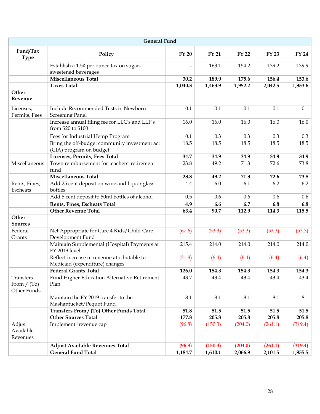| <b>General Fund</b>                       |                                                                               |                |              |              |              |              |
|-------------------------------------------|-------------------------------------------------------------------------------|----------------|--------------|--------------|--------------|--------------|
| Fund/Tax<br><b>Type</b>                   | Policy                                                                        | <b>FY 20</b>   | <b>FY 21</b> | <b>FY 22</b> | <b>FY 23</b> | <b>FY 24</b> |
|                                           | Establish a 1.5¢ per ounce tax on sugar-<br>sweetened beverages               | $\overline{a}$ | 163.1        | 154.2        | 139.2        | 139.9        |
|                                           | <b>Miscellaneous Total</b>                                                    | 30.2           | 189.9        | 175.6        | 156.4        | 153.6        |
|                                           | <b>Taxes Total</b>                                                            | 1,040.3        | 1,463.9      | 1,952.2      | 2,042.5      | 1,953.6      |
| Other<br>Revenue                          |                                                                               |                |              |              |              |              |
| Licenses,<br>Permits, Fees                | Include Recommended Tests in Newborn<br><b>Screening Panel</b>                | 0.1            | 0.1          | 0.1          | 0.1          | 0.1          |
|                                           | Increase annual filing fee for LLC's and LLP's<br>from \$20 to \$100          | 16.0           | 16.0         | 16.0         | 16.0         | 16.0         |
|                                           | Fees for Industrial Hemp Program                                              | 0.1            | 0.3          | 0.3          | 0.3          | 0.3          |
|                                           | Bring the off-budget community investment act<br>(CIA) program on budget      | 18.5           | 18.5         | 18.5         | 18.5         | 18.5         |
|                                           | Licenses, Permits, Fees Total                                                 | 34.7           | 34.9         | 34.9         | 34.9         | 34.9         |
| Miscellaneous                             | Town reimbursement for teachers' retirement<br>fund                           | 23.8           | 49.2         | 71.3         | 72.6         | 73.8         |
|                                           | <b>Miscellaneous Total</b>                                                    | 23.8           | 49.2         | 71.3         | 72.6         | 73.8         |
| Rents, Fines,<br>Escheats                 | Add 25 cent deposit on wine and liquor glass<br>bottles                       | 4.4            | 6.0          | 6.1          | 6.2          | 6.2          |
|                                           | Add 5 cent deposit to 50ml bottles of alcohol                                 | 0.5            | 0.6          | 0.6          | 0.6          | 0.6          |
|                                           | Rents, Fines, Escheats Total                                                  | 4.9            | 6.6          | 6.7          | 6.8          | 6.8          |
|                                           | <b>Other Revenue Total</b>                                                    | 63.4           | 90.7         | 112.9        | 114.3        | 115.5        |
| Other<br><b>Sources</b>                   |                                                                               |                |              |              |              |              |
| Federal<br>Grants                         | Net Appropriate for Care 4 Kids/Child Care<br>Development Fund                | (67.6)         | (53.3)       | (53.3)       | (53.3)       | (53.3)       |
|                                           | Maintain Supplemental (Hospital) Payments at<br><b>FY 2019 level</b>          | 215.4          | 214.0        | 214.0        | 214.0        | 214.0        |
|                                           | Reflect increase in revenue attributable to<br>Medicaid (expenditure) changes | (21.8)         | (6.4)        | (6.4)        | (6.4)        | (6.4)        |
|                                           | <b>Federal Grants Total</b>                                                   | 126.0          | 154.3        | 154.3        | 154.3        | 154.3        |
| Transfers<br>From $/$ (To)<br>Other Funds | Fund Higher Education Alternative Retirement<br>Plan                          | 43.7           | 43.4         | 43.4         | 43.4         | 43.4         |
|                                           | Maintain the FY 2019 transfer to the<br>Mashantucket/Pequot Fund              | 8.1            | 8.1          | 8.1          | 8.1          | 8.1          |
|                                           | Transfers From / (To) Other Funds Total                                       | 51.8           | 51.5         | 51.5         | 51.5         | 51.5         |
|                                           | <b>Other Sources Total</b>                                                    | 177.8          | 205.8        | 205.8        | 205.8        | 205.8        |
| Adjust<br>Available<br>Revenues           | Implement "revenue cap"                                                       | (96.8)         | (150.3)      | (204.0)      | (261.1)      | (319.4)      |
|                                           | Adjust Available Revenues Total                                               | (96.8)         | (150.3)      | (204.0)      | (261.1)      | (319.4)      |
|                                           | <b>General Fund Total</b>                                                     | 1,184.7        | 1,610.1      | 2,066.9      | 2,101.5      | 1,955.5      |